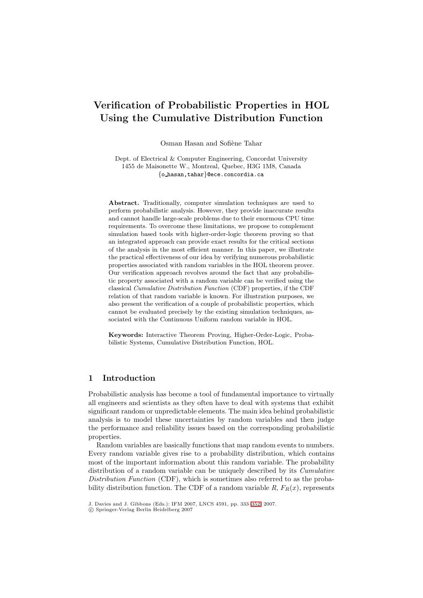# **Verification of Probabilistic Properties in HOL Using the Cumulative Distribution Function**

Osman Hasan and Sofiène Tahar

Dept. of Electrical & Computer Engineering, Concordat University 1455 de Maisonette W., Montreal, Quebec, H3G 1M8, Canada {o hasan,tahar}@ece.concordia.ca

**Abstract.** Traditionally, computer simulation techniques are used to perform probabilistic analysis. However, they provide inaccurate results and cannot handle large-scale problems due to their enormous CPU time requirements. To overcome these limitations, we propose to complement simulation based tools with higher-order-logic theorem proving so that an integrated approach can provide exact results for the critical sections of the analysis in the most efficient manner. In this paper, we illustrate the practical effectiveness of our idea by verifying numerous probabilistic properties associated with random variables in the HOL theorem prover. Our verification approach revolves around the fact that any probabilistic property associated with a random variable can be verified using the classical Cumulative Distribution Function (CDF) properties, if the CDF relation of that random variable is known. For illustration purposes, we also present the verification of a couple of probabilistic properties, which cannot be evaluated precisely by the existing simulation techniques, associated with the Continuous Uniform random variable in HOL.

**Keywords:** Interactive Theorem Proving, Higher-Order-Logic, Probabilistic Systems, Cumulative Distribution Function, HOL.

## <span id="page-0-0"></span>**1 Introduction**

Probabilistic analysis has become a tool of fundamental importance to virtually all engineers and scientists as they often have to deal with systems that exhibit significant random or unpredictable elements. The main idea behind probabilistic analysis is to model these uncertainties by random variables and then judge the performance and reliability issues based on the corresponding probabilistic properties.

Random variables are basically functions that map random events to numbers. Every random variable gives rise to a probability distribution, which contains most of the important information about this random variable. The probability distribution of a random variable can be uniquely described by its *Cumulative* Distribution Function (CDF), which is sometimes also referred to as the probability distribution function. The CDF of a random variable  $R$ ,  $F_R(x)$ , represents

J. Davies and J. Gibbons (Eds.): IFM 2007, LNCS 4591, pp. 333[–352,](#page-18-0) 2007.

<sup>-</sup>c Springer-Verlag Berlin Heidelberg 2007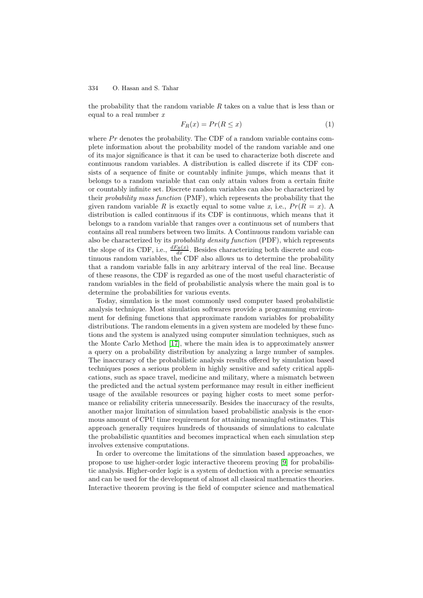the probability that the random variable  $R$  takes on a value that is less than or equal to a real number  $x$ 

$$
F_R(x) = Pr(R \le x)
$$
\n<sup>(1)</sup>

<span id="page-1-0"></span>where  $Pr$  denotes the probability. The CDF of a random variable contains complete information about the probability model of the random variable and one of its major significance is that it can be used to characterize both discrete and continuous random variables. A distribution is called discrete if its CDF consists of a sequence of finite or countably infinite jumps, which means that it belongs to a random variable that can only attain values from a certain finite or countably infinite set. Discrete random variables can also be characterized by their probability mass function (PMF), which represents the probability that the given random variable R is exactly equal to some value x, i.e.,  $Pr(R = x)$ . A distribution is called continuous if its CDF is continuous, which means that it belongs to a random variable that ranges over a continuous set of numbers that contains all real numbers between two limits. A Continuous random variable can also be characterized by its probability density function (PDF), which represents the slope of its CDF, i.e.,  $\frac{dF_R(x)}{dx}$ . Besides characterizing both discrete and continuous random variables, the CDF also allows us to determine the probability that a random variable falls in any arbitrary interval of the real line. Because of these reasons, the CDF is regarded as one of the most useful characteristic of random variables in the field of probabilistic analysis where the main goal is to determine the probabilities for various events.

Today, simulation is the most commonly used computer based probabilistic analysis technique. Most simulation softwares provide a programming environment for defining functions that approximate random variables for probability distributions. The random elements in a given system are modeled by these functions and the system is analyzed using computer simulation techniques, such as the Monte Carlo Method [\[17\]](#page-19-0), where the main idea is to approximately answer a query on a probability distribution by analyzing a large number of samples. The inaccuracy of the probabilistic analysis results offered by simulation based techniques poses a serious problem in highly sensitive and safety critical applications, such as space travel, medicine and military, where a mismatch between the predicted and the actual system performance may result in either inefficient usage of the available resources or paying higher costs to meet some performance or reliability criteria unnecessarily. Besides the inaccuracy of the results, another major limitation of simulation based probabilistic analysis is the enormous amount of CPU time requirement for attaining meaningful estimates. This approach generally requires hundreds of thousands of simulations to calculate the probabilistic quantities and becomes impractical when each simulation step involves extensive computations.

In order to overcome the limitations of the simulation based approaches, we propose to use higher-order logic interactive theorem proving [\[9\]](#page-19-1) for probabilistic analysis. Higher-order logic is a system of deduction with a precise semantics and can be used for the development of almost all classical mathematics theories. Interactive theorem proving is the field of computer science and mathematical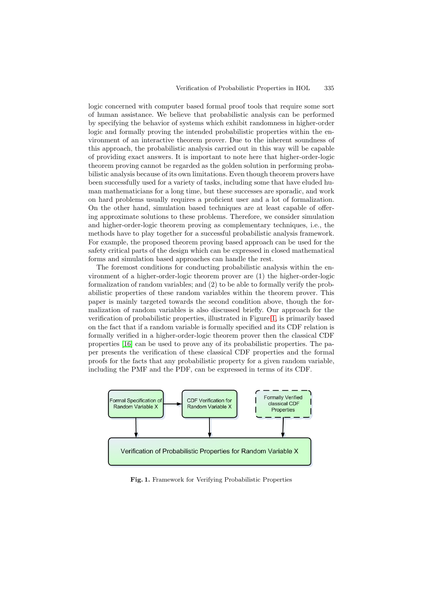logic concerned with computer based formal proof tools that require some sort of human assistance. We believe that probabilistic analysis can be performed by specifying the behavior of systems which exhibit randomness in higher-order logic and formally proving the intended probabilistic properties within the environment of an interactive theorem prover. Due to the inherent soundness of this approach, the probabilistic analysis carried out in this way will be capable of providing exact answers. It is important to note here that higher-order-logic theorem proving cannot be regarded as the golden solution in performing probabilistic analysis because of its own limitations. Even though theorem provers have been successfully used for a variety of tasks, including some that have eluded human mathematicians for a long time, but these successes are sporadic, and work on hard problems usually requires a proficient user and a lot of formalization. On the other hand, simulation based techniques are at least capable of offering approximate solutions to these problems. Therefore, we consider simulation and higher-order-logic theorem proving as complementary techniques, i.e., the methods have to play together for a successful probabilistic analysis framework. For example, the proposed theorem proving based approach can be used for the safety critical parts of the design which can be expressed in closed mathematical forms and simulation based approaches can handle the rest.

The foremost conditions for conducting probabilistic analysis within the environment of a higher-order-logic theorem prover are (1) the higher-order-logic formalization of random variables; and (2) to be able to formally verify the probabilistic properties of these random variables within the theorem prover. This paper is mainly targeted towards the second condition above, though the formalization of random variables is also discussed briefly. Our approach for the verification of probabilistic properties, illustrated in Figure [1,](#page-2-0) is primarily based on the fact that if a random variable is formally specified and its CDF relation is formally verified in a higher-order-logic theorem prover then the classical CDF properties [\[16\]](#page-19-2) can be used to prove any of its probabilistic properties. The paper presents the verification of these classical CDF properties and the formal proofs for the facts that any probabilistic property for a given random variable, including the PMF and the PDF, can be expressed in terms of its CDF.



<span id="page-2-0"></span>**Fig. 1.** Framework for Verifying Probabilistic Properties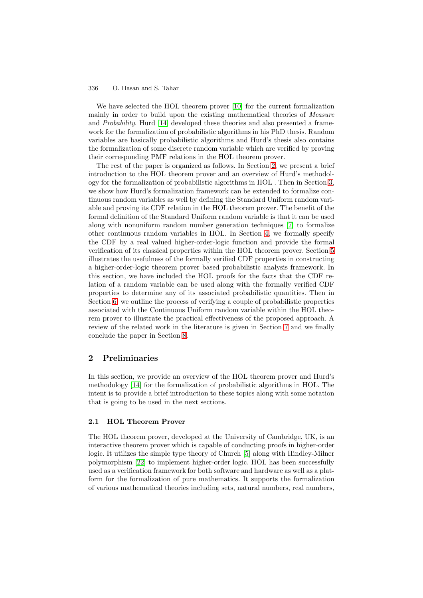We have selected the HOL theorem prover [\[10\]](#page-19-3) for the current formalization mainly in order to build upon the existing mathematical theories of *Measure* and Probability. Hurd [\[14\]](#page-19-4) developed these theories and also presented a framework for the formalization of probabilistic algorithms in his PhD thesis. Random variables are basically probabilistic algorithms and Hurd's thesis also contains the formalization of some discrete random variable which are verified by proving their corresponding PMF relations in the HOL theorem prover.

The rest of the paper is organized as follows. In Section [2,](#page-3-0) we present a brief introduction to the HOL theorem prover and an overview of Hurd's methodology for the formalization of probabilistic algorithms in HOL . Then in Section [3,](#page-6-0) we show how Hurd's formalization framework can be extended to formalize continuous random variables as well by defining the Standard Uniform random variable and proving its CDF relation in the HOL theorem prover. The benefit of the formal definition of the Standard Uniform random variable is that it can be used along with nonuniform random number generation techniques [\[7\]](#page-19-5) to formalize other continuous random variables in HOL. In Section [4,](#page-8-0) we formally specify the CDF by a real valued higher-order-logic function and provide the formal verification of its classical properties within the HOL theorem prover. Section [5](#page-12-0) illustrates the usefulness of the formally verified CDF properties in constructing a higher-order-logic theorem prover based probabilistic analysis framework. In this section, we have included the HOL proofs for the facts that the CDF relation of a random variable can be used along with the formally verified CDF properties to determine any of its associated probabilistic quantities. Then in Section [6,](#page-14-0) we outline the process of verifying a couple of probabilistic properties associated with the Continuous Uniform random variable within the HOL theorem prover to illustrate the practical effectiveness of the proposed approach. A review of the related work in the literature is given in Section [7](#page-16-0) and we finally conclude the paper in Section [8.](#page-18-1)

## <span id="page-3-0"></span>**2 Preliminaries**

In this section, we provide an overview of the HOL theorem prover and Hurd's methodology [\[14\]](#page-19-4) for the formalization of probabilistic algorithms in HOL. The intent is to provide a brief introduction to these topics along with some notation that is going to be used in the next sections.

## **2.1 HOL Theorem Prover**

The HOL theorem prover, developed at the University of Cambridge, UK, is an interactive theorem prover which is capable of conducting proofs in higher-order logic. It utilizes the simple type theory of Church [\[5\]](#page-18-2) along with Hindley-Milner polymorphism [\[22\]](#page-19-6) to implement higher-order logic. HOL has been successfully used as a verification framework for both software and hardware as well as a platform for the formalization of pure mathematics. It supports the formalization of various mathematical theories including sets, natural numbers, real numbers,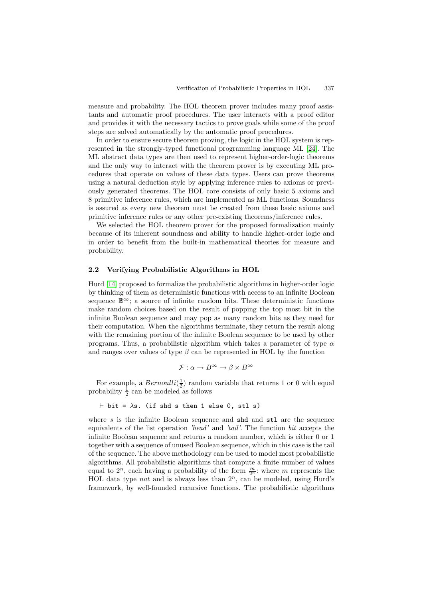measure and probability. The HOL theorem prover includes many proof assistants and automatic proof procedures. The user interacts with a proof editor and provides it with the necessary tactics to prove goals while some of the proof steps are solved automatically by the automatic proof procedures.

In order to ensure secure theorem proving, the logic in the HOL system is represented in the strongly-typed functional programming language ML [\[24\]](#page-19-7). The ML abstract data types are then used to represent higher-order-logic theorems and the only way to interact with the theorem prover is by executing ML procedures that operate on values of these data types. Users can prove theorems using a natural deduction style by applying inference rules to axioms or previously generated theorems. The HOL core consists of only basic 5 axioms and 8 primitive inference rules, which are implemented as ML functions. Soundness is assured as every new theorem must be created from these basic axioms and primitive inference rules or any other pre-existing theorems/inference rules.

We selected the HOL theorem prover for the proposed formalization mainly because of its inherent soundness and ability to handle higher-order logic and in order to benefit from the built-in mathematical theories for measure and probability.

### **2.2 Verifying Probabilistic Algorithms in HOL**

Hurd [\[14\]](#page-19-4) proposed to formalize the probabilistic algorithms in higher-order logic by thinking of them as deterministic functions with access to an infinite Boolean sequence  $\mathbb{B}^{\infty}$ ; a source of infinite random bits. These deterministic functions make random choices based on the result of popping the top most bit in the infinite Boolean sequence and may pop as many random bits as they need for their computation. When the algorithms terminate, they return the result along with the remaining portion of the infinite Boolean sequence to be used by other programs. Thus, a probabilistic algorithm which takes a parameter of type  $\alpha$ and ranges over values of type  $\beta$  can be represented in HOL by the function

$$
\mathcal{F}: \alpha \to B^{\infty} \to \beta \times B^{\infty}
$$

For example, a  $Bernoulli(\frac{1}{2})$  random variable that returns 1 or 0 with equal probability  $\frac{1}{2}$  can be modeled as follows

$$
\vdash \text{bit} = \lambda \text{s}.
$$
 (if shd s then 1 else 0, stl s)

where  $s$  is the infinite Boolean sequence and  $shd$  and  $st1$  are the sequence equivalents of the list operation 'head' and 'tail'. The function bit accepts the infinite Boolean sequence and returns a random number, which is either 0 or 1 together with a sequence of unused Boolean sequence, which in this case is the tail of the sequence. The above methodology can be used to model most probabilistic algorithms. All probabilistic algorithms that compute a finite number of values equal to  $2^n$ , each having a probability of the form  $\frac{m}{2^n}$ : where m represents the HOL data type *nat* and is always less than  $2^n$ , can be modeled, using Hurd's framework, by well-founded recursive functions. The probabilistic algorithms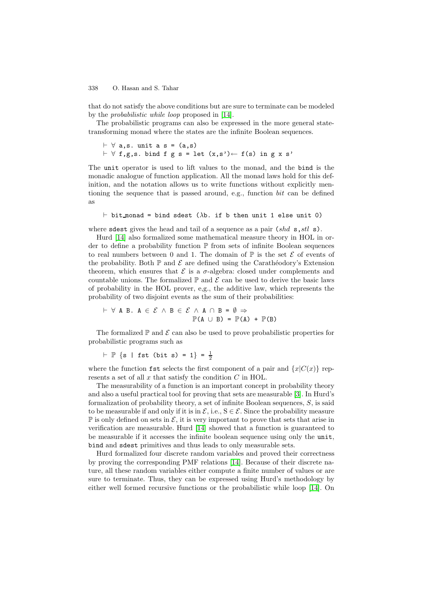that do not satisfy the above conditions but are sure to terminate can be modeled by the probabilistic while loop proposed in [\[14\]](#page-19-4).

The probabilistic programs can also be expressed in the more general statetransforming monad where the states are the infinite Boolean sequences.

```
 ∀ a,s. unit a s = (a,s)
\vdash \forall f,g,s. bind f g s = let (x,s')\leftarrow f(s) in g x s'
```
The unit operator is used to lift values to the monad, and the bind is the monadic analogue of function application. All the monad laws hold for this definition, and the notation allows us to write functions without explicitly mentioning the sequence that is passed around, e.g., function bit can be defined as

 $\vdash$  bit monad = bind sdest ( $\lambda$ b. if b then unit 1 else unit 0)

where sdest gives the head and tail of a sequence as a pair  $(shd s, stl s)$ .

Hurd [\[14\]](#page-19-4) also formalized some mathematical measure theory in HOL in order to define a probability function P from sets of infinite Boolean sequences to real numbers between 0 and 1. The domain of  $\mathbb P$  is the set  $\mathcal E$  of events of the probability. Both  $\mathbb P$  and  $\mathcal E$  are defined using the Carathéodory's Extension theorem, which ensures that  $\mathcal E$  is a  $\sigma$ -algebra: closed under complements and countable unions. The formalized  $\mathbb P$  and  $\mathcal E$  can be used to derive the basic laws of probability in the HOL prover, e,g., the additive law, which represents the probability of two disjoint events as the sum of their probabilities:

 $\vdash$  ∀ A B. A ∈  $\mathcal{E}$  ∧ B ∈  $\mathcal{E}$  ∧ A ∩ B =  $\emptyset$  ⇒  $\mathbb{P}(A \cup B) = \mathbb{P}(A) + \mathbb{P}(B)$ 

The formalized  $\mathbb P$  and  $\mathcal E$  can also be used to prove probabilistic properties for probabilistic programs such as

```
\vdash \mathbb{P} \{s \mid \text{fst (bit s)} = 1\} = \frac{1}{2}
```
where the function fst selects the first component of a pair and  ${x|C(x)}$  represents a set of all  $\boldsymbol{x}$  that satisfy the condition  $C$  in HOL.

The measurability of a function is an important concept in probability theory and also a useful practical tool for proving that sets are measurable [\[3\]](#page-18-3). In Hurd's formalization of probability theory, a set of infinite Boolean sequences,  $S$ , is said to be measurable if and only if it is in  $\mathcal{E}$ , i.e.,  $S \in \mathcal{E}$ . Since the probability measure  $\mathbb P$  is only defined on sets in  $\mathcal E$ , it is very important to prove that sets that arise in verification are measurable. Hurd [\[14\]](#page-19-4) showed that a function is guaranteed to be measurable if it accesses the infinite boolean sequence using only the unit, bind and sdest primitives and thus leads to only measurable sets.

Hurd formalized four discrete random variables and proved their correctness by proving the corresponding PMF relations [\[14\]](#page-19-4). Because of their discrete nature, all these random variables either compute a finite number of values or are sure to terminate. Thus, they can be expressed using Hurd's methodology by either well formed recursive functions or the probabilistic while loop [\[14\]](#page-19-4). On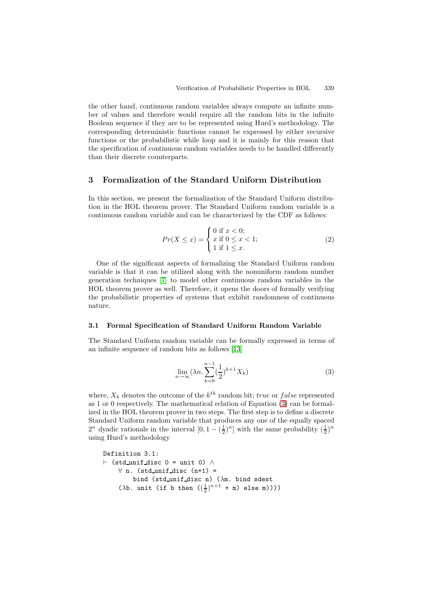the other hand, continuous random variables always compute an infinite number of values and therefore would require all the random bits in the infinite Boolean sequence if they are to be represented using Hurd's methodology. The corresponding deterministic functions cannot be expressed by either recursive functions or the probabilistic while loop and it is mainly for this reason that the specification of continuous random variables needs to be handled differently than their discrete counterparts.

## <span id="page-6-0"></span>**3 Formalization of the Standard Uniform Distribution**

In this section, we present the formalization of the Standard Uniform distribution in the HOL theorem prover. The Standard Uniform random variable is a continuous random variable and can be characterized by the CDF as follows:

$$
Pr(X \le x) = \begin{cases} 0 \text{ if } x < 0; \\ x \text{ if } 0 \le x < 1; \\ 1 \text{ if } 1 \le x. \end{cases}
$$
 (2)

<span id="page-6-2"></span>One of the significant aspects of formalizing the Standard Uniform random variable is that it can be utilized along with the nonuniform random number generation techniques [\[7\]](#page-19-5) to model other continuous random variables in the HOL theorem prover as well. Therefore, it opens the doors of formally verifying the probabilistic properties of systems that exhibit randomness of continuous nature.

### **3.1 Formal Specification of Standard Uniform Random Variable**

The Standard Uniform random variable can be formally expressed in terms of an infinite sequence of random bits as follows [\[13\]](#page-19-8)

$$
\lim_{n \to \infty} (\lambda n \cdot \sum_{k=0}^{n-1} \left(\frac{1}{2}\right)^{k+1} X_k)
$$
\n(3)

<span id="page-6-1"></span>where,  $X_k$  denotes the outcome of the  $k^{th}$  random bit; true or false represented as 1 or 0 respectively. The mathematical relation of Equation [\(3\)](#page-6-1) can be formalized in the HOL theorem prover in two steps. The first step is to define a discrete Standard Uniform random variable that produces any one of the equally spaced  $2^n$  dyadic rationals in the interval  $[0, 1 - (\frac{1}{2})^n]$  with the same probability  $(\frac{1}{2})^n$ using Hurd's methodology

```
Definition 3.1:
 (std unif disc 0 = unit 0) ∧
    \forall n. (std_unif_disc (n+1) =
         bind (std_unif_disc n) (\lambdam. bind sdest
     (\lambdab. unit (if b then (\frac{1}{2})^{n+1} + m) else m))))
```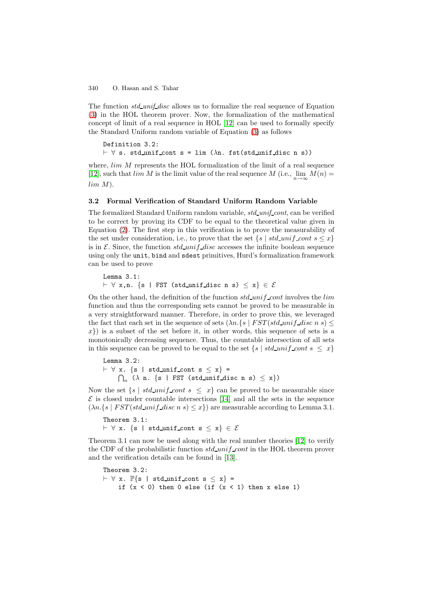The function  $std\_unif\_disc$  allows us to formalize the real sequence of Equation [\(3\)](#page-6-1) in the HOL theorem prover. Now, the formalization of the mathematical concept of limit of a real sequence in HOL [\[12\]](#page-19-9) can be used to formally specify the Standard Uniform random variable of Equation [\(3\)](#page-6-1) as follows

```
Definition 3.2:
\vdash \forall s. std_unif_cont s = lim (\lambdan. fst(std_unif_disc n s))
```
where,  $lim\ M$  represents the HOL formalization of the limit of a real sequence [\[12\]](#page-19-9), such that  $\lim M$  is the limit value of the real sequence M (i.e.,  $\lim M(n) =$  $lim M$ ).

### **3.2 Formal Verification of Standard Uniform Random Variable**

The formalized Standard Uniform random variable, std\_unif\_cont, can be verified to be correct by proving its CDF to be equal to the theoretical value given in Equation [\(2\)](#page-6-2). The first step in this verification is to prove the measurability of the set under consideration, i.e., to prove that the set  $\{s \mid std\_unif\_cont \ s \leq x\}$ is in E. Since, the function  $std\_unif\_disc$  accesses the infinite boolean sequence using only the unit, bind and sdest primitives, Hurd's formalization framework can be used to prove

Lemma 3.1:  $\vdash \forall$  x,n. {s | FST (std\_unif\_disc n s)  $\leq x$ }  $\in \mathcal{E}$ 

On the other hand, the definition of the function  $std\_unif\_cont$  involves the *lim* function and thus the corresponding sets cannot be proved to be measurable in a very straightforward manner. Therefore, in order to prove this, we leveraged the fact that each set in the sequence of sets  $(\lambda n. \{s \mid FST (std\_uni \text{f\_disc } n \text{ s}) \leq$  $x$ }) is a subset of the set before it, in other words, this sequence of sets is a monotonically decreasing sequence. Thus, the countable intersection of all sets in this sequence can be proved to be equal to the set  $\{s \mid std\_unit\_cont s \leq x\}$ 

Lemma 3.2:  $\vdash$   $\forall$  x. {s | std\_unif\_cont s  $\leq$  x} =  $\bigcap_n$  ( $\lambda$  n. {s | FST (std\_unif\_disc n s)  $\leq$  x})

Now the set  $\{s \mid std\_unif\_cont \; s \leq x\}$  can be proved to be measurable since  $\mathcal E$  is closed under countable intersections [\[14\]](#page-19-4) and all the sets in the sequence  $(\lambda n.\{s \mid FST(std\_unif\_disc\ n\ s) \leq x\})$  are measurable according to Lemma 3.1.

Theorem 3.1:  $\vdash \forall$  x. {s | std\_unif\_cont s  $\leq x$ }  $\in \mathcal{E}$ 

Theorem 3.1 can now be used along with the real number theories [\[12\]](#page-19-9) to verify the CDF of the probabilistic function  $std\_unif\_cont$  in the HOL theorem prover and the verification details can be found in [\[13\]](#page-19-8).

Theorem 3.2:  $\vdash \forall$  x.  $\mathbb{P}\{s \mid std\_unif\_cont s \leq x\}$  = if  $(x < 0)$  then 0 else (if  $(x < 1)$  then x else 1)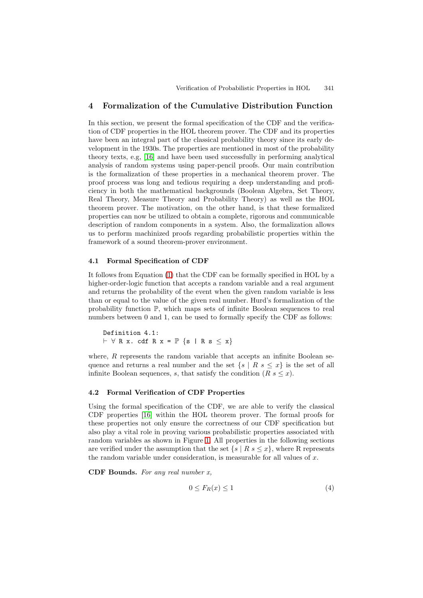## <span id="page-8-0"></span>**4 Formalization of the Cumulative Distribution Function**

In this section, we present the formal specification of the CDF and the verification of CDF properties in the HOL theorem prover. The CDF and its properties have been an integral part of the classical probability theory since its early development in the 1930s. The properties are mentioned in most of the probability theory texts, e.g, [\[16\]](#page-19-2) and have been used successfully in performing analytical analysis of random systems using paper-pencil proofs. Our main contribution is the formalization of these properties in a mechanical theorem prover. The proof process was long and tedious requiring a deep understanding and proficiency in both the mathematical backgrounds (Boolean Algebra, Set Theory, Real Theory, Measure Theory and Probability Theory) as well as the HOL theorem prover. The motivation, on the other hand, is that these formalized properties can now be utilized to obtain a complete, rigorous and communicable description of random components in a system. Also, the formalization allows us to perform machinized proofs regarding probabilistic properties within the framework of a sound theorem-prover environment.

## **4.1 Formal Specification of CDF**

It follows from Equation [\(1\)](#page-1-0) that the CDF can be formally specified in HOL by a higher-order-logic function that accepts a random variable and a real argument and returns the probability of the event when the given random variable is less than or equal to the value of the given real number. Hurd's formalization of the probability function P, which maps sets of infinite Boolean sequences to real numbers between 0 and 1, can be used to formally specify the CDF as follows:

Definition 4.1:  $\vdash \forall R x. \text{cdf } R x = \mathbb{P} \{s | R s \leq x\}$ 

where,  $R$  represents the random variable that accepts an infinite Boolean sequence and returns a real number and the set  $\{s \mid R s \leq x\}$  is the set of all infinite Boolean sequences, s, that satisfy the condition  $(R \, s \leq x)$ .

## **4.2 Formal Verification of CDF Properties**

Using the formal specification of the CDF, we are able to verify the classical CDF properties [\[16\]](#page-19-2) within the HOL theorem prover. The formal proofs for these properties not only ensure the correctness of our CDF specification but also play a vital role in proving various probabilistic properties associated with random variables as shown in Figure [1.](#page-2-0) All properties in the following sections are verified under the assumption that the set  $\{s \mid R \mid s \leq x\}$ , where R represents the random variable under consideration, is measurable for all values of  $x$ .

**CDF Bounds.** For any real number x,

$$
0 \le F_R(x) \le 1 \tag{4}
$$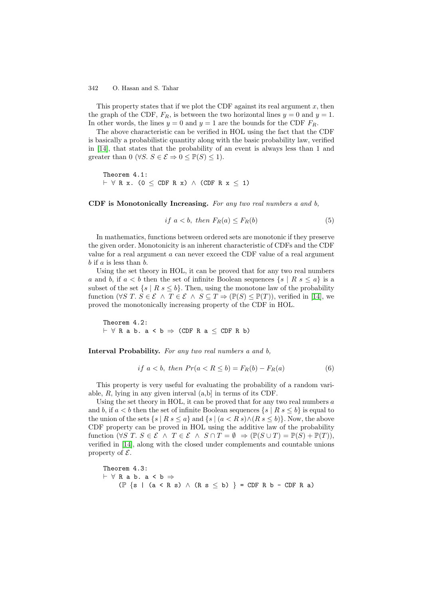This property states that if we plot the CDF against its real argument  $x$ , then the graph of the CDF,  $F_R$ , is between the two horizontal lines  $y = 0$  and  $y = 1$ . In other words, the lines  $y = 0$  and  $y = 1$  are the bounds for the CDF  $F_R$ .

The above characteristic can be verified in HOL using the fact that the CDF is basically a probabilistic quantity along with the basic probability law, verified in [\[14\]](#page-19-4), that states that the probability of an event is always less than 1 and greater than 0 ( $\forall S$ .  $S \in \mathcal{E} \Rightarrow 0 \leq \mathbb{P}(S) \leq 1$ ).

Theorem 4.1:  $\vdash \forall$  R x. (0  $\leq$  CDF R x)  $\land$  (CDF R x  $\leq$  1)

**CDF is Monotonically Increasing.** For any two real numbers a and b,

$$
if a < b, then F_R(a) \le F_R(b) \tag{5}
$$

In mathematics, functions between ordered sets are monotonic if they preserve the given order. Monotonicity is an inherent characteristic of CDFs and the CDF value for a real argument a can never exceed the CDF value of a real argument  $b$  if  $a$  is less than  $b$ .

Using the set theory in HOL, it can be proved that for any two real numbers a and b, if  $a < b$  then the set of infinite Boolean sequences  $\{s \mid R s \leq a\}$  is a subset of the set  $\{s \mid R s \leq b\}$ . Then, using the monotone law of the probability function ( $\forall S \ T. S \in \mathcal{E} \land T \in \mathcal{E} \land S \subseteq T \Rightarrow (\mathbb{P}(S) \leq \mathbb{P}(T))$ , verified in [\[14\]](#page-19-4), we proved the monotonically increasing property of the CDF in HOL.

Theorem 4.2:  $\vdash \forall R$  a b. a < b  $\Rightarrow$  (CDF R a < CDF R b)

**Interval Probability.** For any two real numbers a and b,

$$
if a < b, then Pr(a < R \le b) = F_R(b) - F_R(a)
$$
\n
$$
(6)
$$

This property is very useful for evaluating the probability of a random variable,  $R$ , lying in any given interval  $(a,b)$  in terms of its CDF.

Using the set theory in HOL, it can be proved that for any two real numbers  $a$ and b, if  $a < b$  then the set of infinite Boolean sequences  $\{s \mid R s \leq b\}$  is equal to the union of the sets  $\{s \mid R s \leq a\}$  and  $\{s \mid (a < R s) \wedge (R s \leq b)\}.$  Now, the above CDF property can be proved in HOL using the additive law of the probability function  $(\forall S \ T. S \in \mathcal{E} \land T \in \mathcal{E} \land S \cap T = \emptyset \Rightarrow (\mathbb{P}(S \cup T) = \mathbb{P}(S) + \mathbb{P}(T)),$ verified in [\[14\]](#page-19-4), along with the closed under complements and countable unions property of  $\mathcal{E}$ .

Theorem 4.3:  $\vdash \forall R$  a b. a  $\lt b \Rightarrow$  $(\mathbb{P} \{s \mid (a < R s) \land (R s \le b) \} = CDF R b - CDF R a)$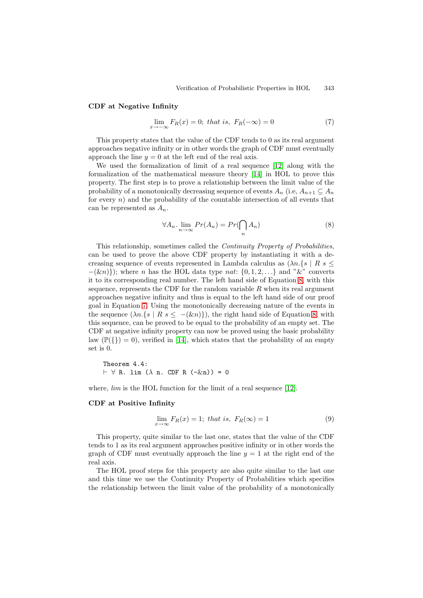#### <span id="page-10-1"></span>**CDF at Negative Infinity**

$$
\lim_{x \to -\infty} F_R(x) = 0; \text{ that is, } F_R(-\infty) = 0 \tag{7}
$$

This property states that the value of the CDF tends to 0 as its real argument approaches negative infinity or in other words the graph of CDF must eventually approach the line  $y = 0$  at the left end of the real axis.

We used the formalization of limit of a real sequence [\[12\]](#page-19-9) along with the formalization of the mathematical measure theory [\[14\]](#page-19-4) in HOL to prove this property. The first step is to prove a relationship between the limit value of the probability of a monotonically decreasing sequence of events  $A_n$  (i.e,  $A_{n+1} \subseteq A_n$ for every  $n$ ) and the probability of the countable intersection of all events that can be represented as  $A_n$ .

$$
\forall A_n. \lim_{n \to \infty} Pr(A_n) = Pr(\bigcap_n A_n)
$$
\n(8)

<span id="page-10-0"></span>This relationship, sometimes called the Continuity Property of Probabilities, can be used to prove the above CDF property by instantiating it with a decreasing sequence of events represented in Lambda calculus as  $(\lambda n.\{s \mid R s \leq \lambda\})$  $-(\&n)$ }); where *n* has the HOL data type *nat*: {0, 1, 2, ...} and " $&$ " converts it to its corresponding real number. The left hand side of Equation [8,](#page-10-0) with this sequence, represents the CDF for the random variable  $R$  when its real argument approaches negative infinity and thus is equal to the left hand side of our proof goal in Equation [7.](#page-10-1) Using the monotonically decreasing nature of the events in the sequence  $(\lambda n.\{s \mid R s \leq -(\& n)\})$ , the right hand side of Equation [8,](#page-10-0) with this sequence, can be proved to be equal to the probability of an empty set. The CDF at negative infinity property can now be proved using the basic probability law  $(\mathbb{P}({}) = 0)$ , verified in [\[14\]](#page-19-4), which states that the probability of an empty set is 0.

Theorem 4.4:  $\vdash \forall$  R. lim ( $\lambda$  n. CDF R (- $\&$ n)) = 0

where, *lim* is the HOL function for the limit of a real sequence [\[12\]](#page-19-9).

### **CDF at Positive Infinity**

$$
\lim_{x \to \infty} F_R(x) = 1; \text{ that is, } F_R(\infty) = 1 \tag{9}
$$

This property, quite similar to the last one, states that the value of the CDF tends to 1 as its real argument approaches positive infinity or in other words the graph of CDF must eventually approach the line  $y = 1$  at the right end of the real axis.

The HOL proof steps for this property are also quite similar to the last one and this time we use the Continuity Property of Probabilities which specifies the relationship between the limit value of the probability of a monotonically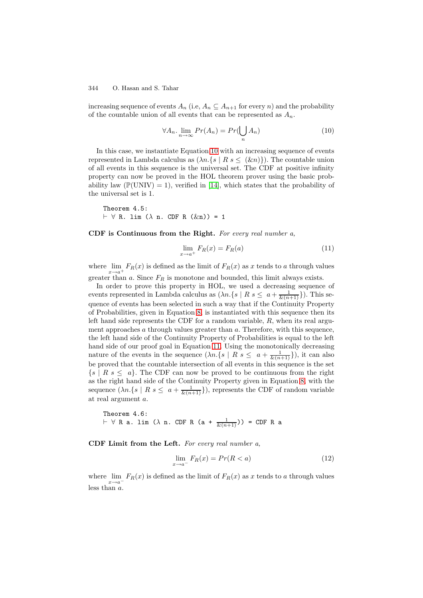increasing sequence of events  $A_n$  (i.e,  $A_n \subseteq A_{n+1}$  for every n) and the probability of the countable union of all events that can be represented as  $A_n$ .

$$
\forall A_n. \lim_{n \to \infty} Pr(A_n) = Pr(\bigcup_n A_n)
$$
 (10)

<span id="page-11-0"></span>In this case, we instantiate Equation [10](#page-11-0) with an increasing sequence of events represented in Lambda calculus as  $(\lambda n.\{s \mid R s \leq (\& n)\})$ . The countable union of all events in this sequence is the universal set. The CDF at positive infinity property can now be proved in the HOL theorem prover using the basic probability law ( $\mathbb{P}(\text{UNIV}) = 1$ ), verified in [\[14\]](#page-19-4), which states that the probability of the universal set is 1.

Theorem 4.5:  $\vdash \forall$  R. lim ( $\lambda$  n. CDF R ( $\&$ n)) = 1

<span id="page-11-1"></span>**CDF is Continuous from the Right.** For every real number a,

$$
\lim_{x \to a^{+}} F_{R}(x) = F_{R}(a) \tag{11}
$$

where  $\lim_{x\to a^+} F_R(x)$  is defined as the limit of  $F_R(x)$  as x tends to a through values greater than  $a$ . Since  $F_R$  is monotone and bounded, this limit always exists.

In order to prove this property in HOL, we used a decreasing sequence of events represented in Lambda calculus as  $(\lambda n.\{s \mid R s \leq a + \frac{1}{\&k(n+1)}\})$ . This sequence of events has been selected in such a way that if the Continuity Property of Probabilities, given in Equation [8,](#page-10-0) is instantiated with this sequence then its left hand side represents the CDF for a random variable,  $R$ , when its real argument approaches  $a$  through values greater than  $a$ . Therefore, with this sequence, the left hand side of the Continuity Property of Probabilities is equal to the left hand side of our proof goal in Equation [11.](#page-11-1) Using the monotonically decreasing nature of the events in the sequence  $(\lambda n.\{s \mid R s \leq a + \frac{1}{\& (n+1)}\})$ , it can also be proved that the countable intersection of all events in this sequence is the set  $\{s \mid R \ s \leq a\}$ . The CDF can now be proved to be continuous from the right as the right hand side of the Continuity Property given in Equation [8,](#page-10-0) with the sequence  $(\lambda n.\{s \mid R s \leq a + \frac{1}{\&(n+1)}\})$ , represents the CDF of random variable at real argument a.

Theorem 4.6:  $\vdash$   $\forall$  R a. lim ( $\lambda$  n. CDF R (a +  $\frac{1}{\&(n+1)})$ ) = CDF R a

<span id="page-11-2"></span>**CDF Limit from the Left.** For every real number a,

$$
\lim_{x \to a^{-}} F_R(x) = Pr(R < a) \tag{12}
$$

where  $\lim_{x\to a^{-}} F_R(x)$  is defined as the limit of  $F_R(x)$  as x tends to a through values less than  $a$ .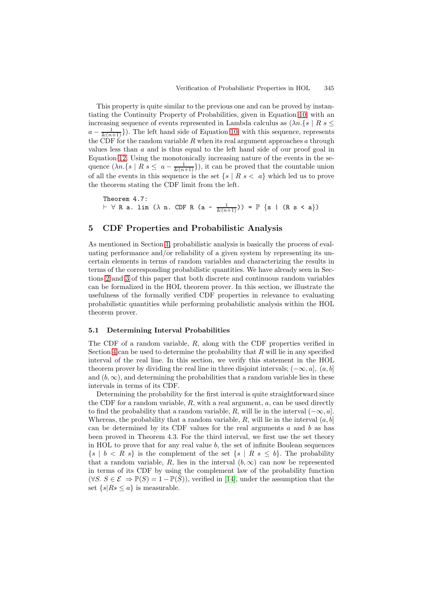This property is quite similar to the previous one and can be proved by instantiating the Continuity Property of Probabilities, given in Equation [10,](#page-11-0) with an increasing sequence of events represented in Lambda calculus as  $(\lambda n.\{s \mid R s \leq \lambda n.\})$  $a - \frac{1}{\&{n+1}})$ . The left hand side of Equation [10,](#page-11-0) with this sequence, represents the CDF for the random variable R when its real argument approaches a through values less than  $a$  and is thus equal to the left hand side of our proof goal in Equation [12.](#page-11-2) Using the monotonically increasing nature of the events in the sequence  $(\lambda n.\{s \mid R s \le a - \frac{1}{\&(n+1)}\})$ , it can be proved that the countable union of all the events in this sequence is the set  $\{s \mid R s < a\}$  which led us to prove the theorem stating the CDF limit from the left.

Theorem 4.7:  $\vdash \forall R$  a. lim ( $\lambda$  n. CDF R (a -  $\frac{1}{\&(n+1)})$ ) =  $\mathbb{P}$  {s | (R s < a})

## <span id="page-12-0"></span>**5 CDF Properties and Probabilistic Analysis**

As mentioned in Section [1,](#page-0-0) probabilistic analysis is basically the process of evaluating performance and/or reliability of a given system by representing its uncertain elements in terms of random variables and characterizing the results in terms of the corresponding probabilistic quantities. We have already seen in Sections [2](#page-3-0) and [3](#page-6-0) of this paper that both discrete and continuous random variables can be formalized in the HOL theorem prover. In this section, we illustrate the usefulness of the formally verified CDF properties in relevance to evaluating probabilistic quantities while performing probabilistic analysis within the HOL theorem prover.

### **5.1 Determining Interval Probabilities**

The CDF of a random variable, R, along with the CDF properties verified in Section [4](#page-8-0) can be used to determine the probability that  $R$  will lie in any specified interval of the real line. In this section, we verify this statement in the HOL theorem prover by dividing the real line in three disjoint intervals;  $(-\infty, a]$ ,  $(a, b]$ and  $(b, \infty)$ , and determining the probabilities that a random variable lies in these intervals in terms of its CDF.

Determining the probability for the first interval is quite straightforward since the CDF for a random variable,  $R$ , with a real argument,  $a$ , can be used directly to find the probability that a random variable, R, will lie in the interval  $(-\infty, a]$ . Whereas, the probability that a random variable, R, will lie in the interval  $(a, b]$ can be determined by its CDF values for the real arguments  $a$  and  $b$  as has been proved in Theorem 4.3. For the third interval, we first use the set theory in HOL to prove that for any real value  $b$ , the set of infinite Boolean sequences  $\{s \mid b \lt R \ s\}$  is the complement of the set  $\{s \mid R \ s \leq b\}$ . The probability that a random variable, R, lies in the interval  $(b, \infty)$  can now be represented in terms of its CDF by using the complement law of the probability function  $(\forall S. S \in \mathcal{E} \Rightarrow \mathbb{P}(S)=1-\mathbb{P}(\bar{S}))$ , verified in [\[14\]](#page-19-4), under the assumption that the set  $\{s|Rs \leq a\}$  is measurable.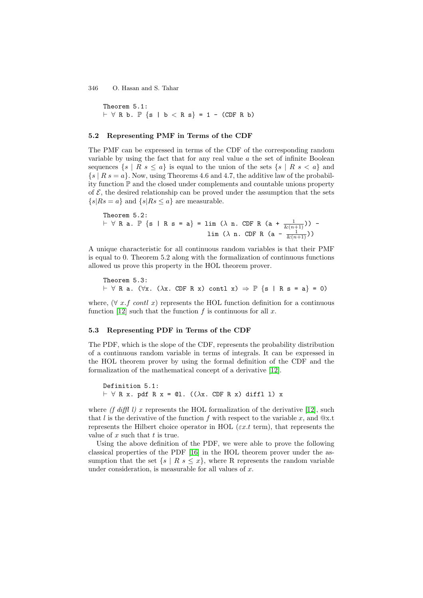Theorem 5.1:  $\vdash$  ∀ R b.  $\mathbb{P}$  {s | b < R s} = 1 - (CDF R b)

## **5.2 Representing PMF in Terms of the CDF**

The PMF can be expressed in terms of the CDF of the corresponding random variable by using the fact that for any real value  $a$  the set of infinite Boolean sequences  $\{s \mid R s \leq a\}$  is equal to the union of the sets  $\{s \mid R s < a\}$  and  $\{s \mid R s = a\}$ . Now, using Theorems 4.6 and 4.7, the additive law of the probability function P and the closed under complements and countable unions property of  $\mathcal{E}$ , the desired relationship can be proved under the assumption that the sets  $\{s\vert Rs=a\}$  and  $\{s\vert Rs\leq a\}$  are measurable.

Theorem 5.2:  $\vdash \forall R$  a.  $\mathbb{P} \{s | R s = a\} = \lim (\lambda n)$ . CDF R  $(a + \frac{1}{\&(n+1)})$ ) lim ( $\lambda$  n. CDF R (a -  $\frac{1}{\&(n+1)})$ )

A unique characteristic for all continuous random variables is that their PMF is equal to 0. Theorem 5.2 along with the formalization of continuous functions allowed us prove this property in the HOL theorem prover.

Theorem 5.3:  $\vdash \forall R$  a. ( $\forall x$ . ( $\lambda x$ . CDF R x) contl x)  $\Rightarrow \mathbb{P}$  {s | R s = a} = 0)

where,  $(\forall x.f \text{ cont } x)$  represents the HOL function definition for a continuous function [\[12\]](#page-19-9) such that the function f is continuous for all x.

### **5.3 Representing PDF in Terms of the CDF**

The PDF, which is the slope of the CDF, represents the probability distribution of a continuous random variable in terms of integrals. It can be expressed in the HOL theorem prover by using the formal definition of the CDF and the formalization of the mathematical concept of a derivative [\[12\]](#page-19-9).

Definition 5.1:  $\vdash \forall$  R x. pdf R x = ©1. (( $\lambda$ x. CDF R x) diffl 1) x

where (f diffl l) x represents the HOL formalization of the derivative [\[12\]](#page-19-9), such that l is the derivative of the function f with respect to the variable x, and  $@x$ .t represents the Hilbert choice operator in HOL ( $\varepsilon x.t$  term), that represents the value of  $x$  such that  $t$  is true.

Using the above definition of the PDF, we were able to prove the following classical properties of the PDF [\[16\]](#page-19-2) in the HOL theorem prover under the assumption that the set  $\{s \mid R \mid s \leq x\}$ , where R represents the random variable under consideration, is measurable for all values of  $x$ .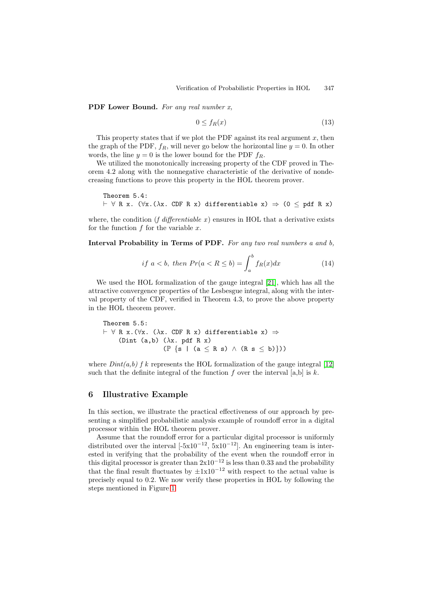**PDF Lower Bound.** For any real number x.

$$
0 \le f_R(x) \tag{13}
$$

This property states that if we plot the PDF against its real argument  $x$ , then the graph of the PDF,  $f_R$ , will never go below the horizontal line  $y = 0$ . In other words, the line  $y = 0$  is the lower bound for the PDF  $f_R$ .

We utilized the monotonically increasing property of the CDF proved in Theorem 4.2 along with the nonnegative characteristic of the derivative of nondecreasing functions to prove this property in the HOL theorem prover.

Theorem 5.4:  $\vdash \forall R \times x. (\forall x. (\lambda x. CDF R x)$  differentiable  $x) \Rightarrow (0 \leq pdf R x)$ 

where, the condition (f differentiable x) ensures in HOL that a derivative exists for the function  $f$  for the variable  $x$ .

**Interval Probability in Terms of PDF.** For any two real numbers a and b,

$$
if a < b, then Pr(a < R \le b) = \int_{a}^{b} f_R(x)dx
$$
\n(14)

We used the HOL formalization of the gauge integral [\[21\]](#page-19-10), which has all the attractive convergence properties of the Lesbesgue integral, along with the interval property of the CDF, verified in Theorem 4.3, to prove the above property in the HOL theorem prover.

Theorem 5.5:  $\vdash \forall R$  x.( $\forall x. (\lambda x.$  CDF R x) differentiable x)  $\Rightarrow$ (Dint (a,b)  $(\lambda x. \text{pdf } R x)$  $(\mathbb{P} \{s \mid (a \le R s) \land (R s \le b)\})$ 

where  $Dint(a,b)$  f k represents the HOL formalization of the gauge integral [\[12\]](#page-19-9) such that the definite integral of the function f over the interval  $[a,b]$  is k.

## <span id="page-14-0"></span>**6 Illustrative Example**

In this section, we illustrate the practical effectiveness of our approach by presenting a simplified probabilistic analysis example of roundoff error in a digital processor within the HOL theorem prover.

Assume that the roundoff error for a particular digital processor is uniformly distributed over the interval  $[-5x10^{-12}, 5x10^{-12}]$ . An engineering team is interested in verifying that the probability of the event when the roundoff error in this digital processor is greater than  $2x10^{-12}$  is less than 0.33 and the probability that the final result fluctuates by  $\pm 1x10^{-12}$  with respect to the actual value is precisely equal to 0.2. We now verify these properties in HOL by following the steps mentioned in Figure [1.](#page-2-0)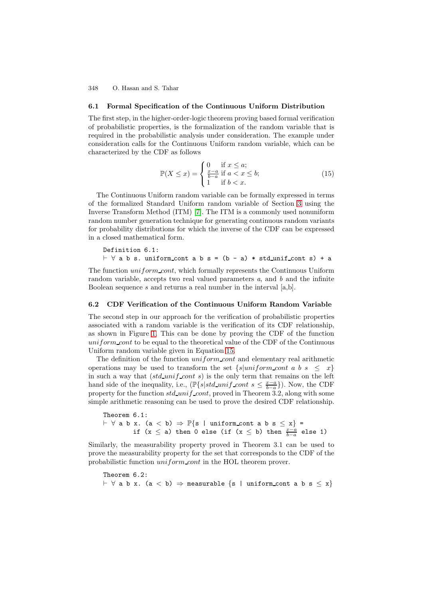### **6.1 Formal Specification of the Continuous Uniform Distribution**

The first step, in the higher-order-logic theorem proving based formal verification of probabilistic properties, is the formalization of the random variable that is required in the probabilistic analysis under consideration. The example under consideration calls for the Continuous Uniform random variable, which can be characterized by the CDF as follows

$$
\mathbb{P}(X \le x) = \begin{cases} 0 & \text{if } x \le a; \\ \frac{x-a}{b-a} & \text{if } a < x \le b; \\ 1 & \text{if } b < x. \end{cases} \tag{15}
$$

<span id="page-15-0"></span>The Continuous Uniform random variable can be formally expressed in terms of the formalized Standard Uniform random variable of Section [3](#page-6-0) using the Inverse Transform Method (ITM) [\[7\]](#page-19-5). The ITM is a commonly used nonuniform random number generation technique for generating continuous random variants for probability distributions for which the inverse of the CDF can be expressed in a closed mathematical form.

Definition 6.1:  

$$
\vdash \forall
$$
 a b s. uniformcont a b s = (b - a) \* std-unitcont s) + a

The function  $uniform\_cont$ , which formally represents the Continuous Uniform random variable, accepts two real valued parameters  $a$ , and  $b$  and the infinite Boolean sequence  $s$  and returns a real number in the interval  $[a,b]$ .

#### **6.2 CDF Verification of the Continuous Uniform Random Variable**

The second step in our approach for the verification of probabilistic properties associated with a random variable is the verification of its CDF relationship, as shown in Figure [1.](#page-2-0) This can be done by proving the CDF of the function uniform cont to be equal to the theoretical value of the CDF of the Continuous Uniform random variable given in Equation [15.](#page-15-0)

The definition of the function  $uniform\_cont$  and elementary real arithmetic operations may be used to transform the set  ${s|uniform cont a b s \leq x}$ in such a way that  $(std\_unif\_cont s)$  is the only term that remains on the left hand side of the inequality, i.e.,  $(\mathbb{P}\{s|std\_unif\_cont \ s \leq \frac{x-a}{b-a}\})$ . Now, the CDF property for the function  $std\_unif\_cont$ , proved in Theorem 3.2, along with some simple arithmetic reasoning can be used to prove the desired CDF relationship.

Theorem 6.1:  $\vdash \forall$  a b x. (a < b)  $\Rightarrow$   $\mathbb{P}\{s \mid \text{uniform\_cont a b s } \leq x\}$  = if (x  $\leq$  a) then 0 else (if (x  $\leq$  b) then  $\frac{x-a}{b-a}$  else 1)

Similarly, the measurability property proved in Theorem 3.1 can be used to prove the measurability property for the set that corresponds to the CDF of the probabilistic function uniform cont in the HOL theorem prover.

```
Theorem 6.2:
\vdash \forall a b x. (a < b) \Rightarrow measurable {s | uniform_cont a b s \leq x}
```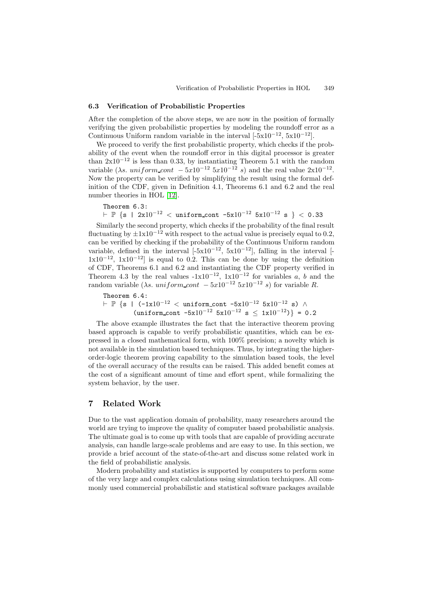#### **6.3 Verification of Probabilistic Properties**

After the completion of the above steps, we are now in the position of formally verifying the given probabilistic properties by modeling the roundoff error as a Continuous Uniform random variable in the interval  $[-5x10^{-12}, 5x10^{-12}]$ .

We proceed to verify the first probabilistic property, which checks if the probability of the event when the roundoff error in this digital processor is greater than  $2x10^{-12}$  is less than 0.33, by instantiating Theorem 5.1 with the random variable ( $\lambda$ s. uniform\_cont  $-5x10^{-12}$  5x $10^{-12}$  s) and the real value  $2x10^{-12}$ . Now the property can be verified by simplifying the result using the formal definition of the CDF, given in Definition 4.1, Theorems 6.1 and 6.2 and the real number theories in HOL [\[12\]](#page-19-9).

Theorem 6.3:  $\vdash \mathbb{P}$  {s | 2x10<sup>-12</sup> < uniform\_cont -5x10<sup>-12</sup> 5x10<sup>-12</sup> s } < 0.33

Similarly the second property, which checks if the probability of the final result fluctuating by  $\pm 1x10^{-12}$  with respect to the actual value is precisely equal to 0.2, can be verified by checking if the probability of the Continuous Uniform random variable, defined in the interval  $[-5x10^{-12}, 5x10^{-12}]$ , falling in the interval [- $1x10^{-12}$ ,  $1x10^{-12}$ ] is equal to 0.2. This can be done by using the definition of CDF, Theorems 6.1 and 6.2 and instantiating the CDF property verified in Theorem 4.3 by the real values  $-1x10^{-12}$ ,  $1x10^{-12}$  for variables a, b and the random variable ( $\lambda s$ . uniform cont  $-5x10^{-12}$  5x10<sup>-12</sup> s) for variable R.

```
Theorem 6.4:
\vdash \mathbb{P} {s | (-1x10^{-12} < uniform_cont -5x10^{-12} 5x10^{-12} s) \land(\text{uniformcont } -5x10^{-12} 5x10^{-12} s \leq 1x10^{-12}) = 0.2
```
The above example illustrates the fact that the interactive theorem proving based approach is capable to verify probabilistic quantities, which can be expressed in a closed mathematical form, with 100% precision; a novelty which is not available in the simulation based techniques. Thus, by integrating the higherorder-logic theorem proving capability to the simulation based tools, the level of the overall accuracy of the results can be raised. This added benefit comes at the cost of a significant amount of time and effort spent, while formalizing the system behavior, by the user.

## <span id="page-16-0"></span>**7 Related Work**

Due to the vast application domain of probability, many researchers around the world are trying to improve the quality of computer based probabilistic analysis. The ultimate goal is to come up with tools that are capable of providing accurate analysis, can handle large-scale problems and are easy to use. In this section, we provide a brief account of the state-of-the-art and discuss some related work in the field of probabilistic analysis.

Modern probability and statistics is supported by computers to perform some of the very large and complex calculations using simulation techniques. All commonly used commercial probabilistic and statistical software packages available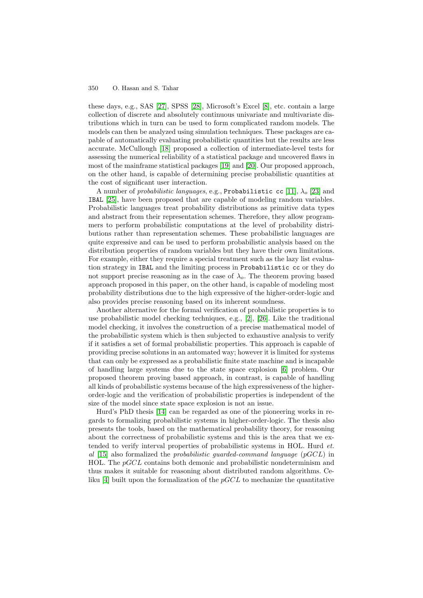these days, e.g., SAS [\[27\]](#page-19-11), SPSS [\[28\]](#page-19-12), Microsoft's Excel [\[8\]](#page-19-13), etc. contain a large collection of discrete and absolutely continuous univariate and multivariate distributions which in turn can be used to form complicated random models. The models can then be analyzed using simulation techniques. These packages are capable of automatically evaluating probabilistic quantities but the results are less accurate. McCullough [\[18\]](#page-19-14) proposed a collection of intermediate-level tests for assessing the numerical reliability of a statistical package and uncovered flaws in most of the mainframe statistical packages [\[19\]](#page-19-15) and [\[20\]](#page-19-16). Our proposed approach, on the other hand, is capable of determining precise probabilistic quantities at the cost of significant user interaction.

A number of probabilistic languages, e.g., Probabilistic cc [\[11\]](#page-19-17),  $\lambda_0$  [\[23\]](#page-19-18) and IBAL [\[25\]](#page-19-19), have been proposed that are capable of modeling random variables. Probabilistic languages treat probability distributions as primitive data types and abstract from their representation schemes. Therefore, they allow programmers to perform probabilistic computations at the level of probability distributions rather than representation schemes. These probabilistic languages are quite expressive and can be used to perform probabilistic analysis based on the distribution properties of random variables but they have their own limitations. For example, either they require a special treatment such as the lazy list evaluation strategy in IBAL and the limiting process in Probabilistic cc or they do not support precise reasoning as in the case of  $\lambda_o$ . The theorem proving based approach proposed in this paper, on the other hand, is capable of modeling most probability distributions due to the high expressive of the higher-order-logic and also provides precise reasoning based on its inherent soundness.

Another alternative for the formal verification of probabilistic properties is to use probabilistic model checking techniques, e.g., [\[2\]](#page-18-4), [\[26\]](#page-19-20). Like the traditional model checking, it involves the construction of a precise mathematical model of the probabilistic system which is then subjected to exhaustive analysis to verify if it satisfies a set of formal probabilistic properties. This approach is capable of providing precise solutions in an automated way; however it is limited for systems that can only be expressed as a probabilistic finite state machine and is incapable of handling large systems due to the state space explosion [\[6\]](#page-19-21) problem. Our proposed theorem proving based approach, in contrast, is capable of handling all kinds of probabilistic systems because of the high expressiveness of the higherorder-logic and the verification of probabilistic properties is independent of the size of the model since state space explosion is not an issue.

Hurd's PhD thesis [\[14\]](#page-19-4) can be regarded as one of the pioneering works in regards to formalizing probabilistic systems in higher-order-logic. The thesis also presents the tools, based on the mathematical probability theory, for reasoning about the correctness of probabilistic systems and this is the area that we extended to verify interval properties of probabilistic systems in HOL. Hurd et. al  $[15]$  also formalized the probabilistic guarded-command language (pGCL) in HOL. The  $pGCL$  contains both demonic and probabilistic nondeterminism and thus makes it suitable for reasoning about distributed random algorithms. Celiku  $[4]$  built upon the formalization of the  $pGCL$  to mechanize the quantitative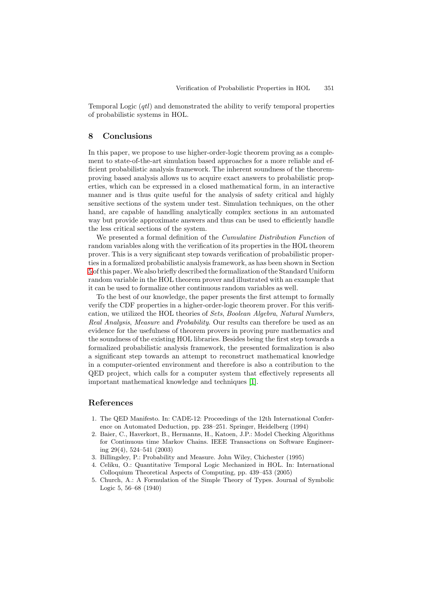Temporal Logic (qtl) and demonstrated the ability to verify temporal properties of probabilistic systems in HOL.

## <span id="page-18-1"></span>**8 Conclusions**

In this paper, we propose to use higher-order-logic theorem proving as a complement to state-of-the-art simulation based approaches for a more reliable and efficient probabilistic analysis framework. The inherent soundness of the theoremproving based analysis allows us to acquire exact answers to probabilistic properties, which can be expressed in a closed mathematical form, in an interactive manner and is thus quite useful for the analysis of safety critical and highly sensitive sections of the system under test. Simulation techniques, on the other hand, are capable of handling analytically complex sections in an automated way but provide approximate answers and thus can be used to efficiently handle the less critical sections of the system.

We presented a formal definition of the Cumulative Distribution Function of random variables along with the verification of its properties in the HOL theorem prover. This is a very significant step towards verification of probabilistic properties in a formalized probabilistic analysis framework, as has been shown in Section [5](#page-12-0)ofthis paper. We alsobrieflydescribed the formalizationofthe Standard Uniform random variable in the HOL theorem prover and illustrated with an example that it can be used to formalize other continuous random variables as well.

To the best of our knowledge, the paper presents the first attempt to formally verify the CDF properties in a higher-order-logic theorem prover. For this verification, we utilized the HOL theories of Sets, Boolean Algebra, Natural Numbers, Real Analysis, Measure and Probability. Our results can therefore be used as an evidence for the usefulness of theorem provers in proving pure mathematics and the soundness of the existing HOL libraries. Besides being the first step towards a formalized probabilistic analysis framework, the presented formalization is also a significant step towards an attempt to reconstruct mathematical knowledge in a computer-oriented environment and therefore is also a contribution to the QED project, which calls for a computer system that effectively represents all important mathematical knowledge and techniques [\[1\]](#page-18-6).

## <span id="page-18-6"></span><span id="page-18-0"></span>**References**

- 1. The QED Manifesto. In: CADE-12: Proceedings of the 12th International Conference on Automated Deduction, pp. 238–251. Springer, Heidelberg (1994)
- <span id="page-18-4"></span>2. Baier, C., Haverkort, B., Hermanns, H., Katoen, J.P.: Model Checking Algorithms for Continuous time Markov Chains. IEEE Transactions on Software Engineering 29(4), 524–541 (2003)
- <span id="page-18-5"></span><span id="page-18-3"></span>3. Billingsley, P.: Probability and Measure. John Wiley, Chichester (1995)
- 4. Celiku, O.: Quantitative Temporal Logic Mechanized in HOL. In: International Colloquium Theoretical Aspects of Computing, pp. 439–453 (2005)
- <span id="page-18-2"></span>5. Church, A.: A Formulation of the Simple Theory of Types. Journal of Symbolic Logic 5, 56–68 (1940)